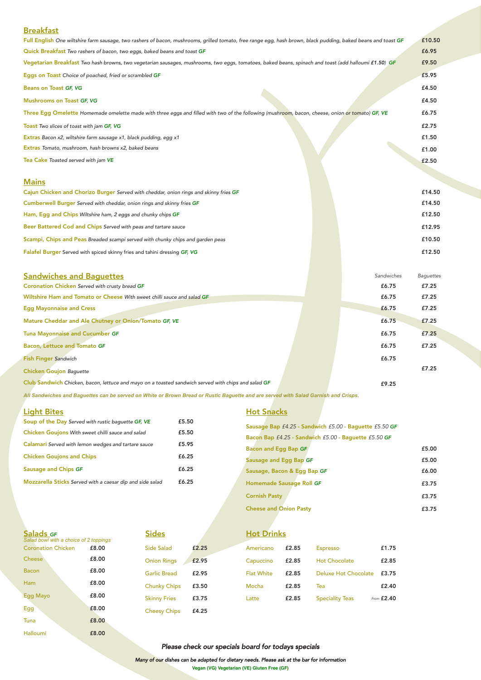# Breakfast

Bacon, Lettuce and Tomato GF

Fish Finger Sandwich Chicken Goujon Baguette

Club Sandwich Chicken, bacon, lettuce and mayo on a toasted sandwich served with chips and salad GF

| Full English One wiltshire farm sausage, two rashers of bacon, mushrooms, grilled tomato, free range egg, hash brown, black pudding, baked beans and toast GF |  |            | £10.50           |
|---------------------------------------------------------------------------------------------------------------------------------------------------------------|--|------------|------------------|
| Quick Breakfast Two rashers of bacon, two eggs, baked beans and toast GF                                                                                      |  |            | £6.95            |
| Vegetarian Breakfast Two hash browns, two vegetarian sausages, mushrooms, two eggs, tomatoes, baked beans, spinach and toast (add halloumi £1.50) GF          |  |            | £9.50            |
| Eggs on Toast Choice of poached, fried or scrambled GF                                                                                                        |  |            | £5.95            |
| <b>Beans on Toast GF, VG</b>                                                                                                                                  |  |            | £4.50            |
| <b>Mushrooms on Toast GF, VG</b>                                                                                                                              |  |            | £4.50            |
| Three Egg Omelette Homemade omelette made with three eggs and filled with two of the following (mushroom, bacon, cheese, onion or tomato) GF, VE              |  |            | £6.75            |
| Toast Two slices of toast with jam GF, VG                                                                                                                     |  |            | £2.75            |
| Extras Bacon x2, wiltshire farm sausage x1, black pudding, egg x1                                                                                             |  |            | £1.50            |
| Extras Tomato, mushroom, hash browns x2, baked beans                                                                                                          |  |            | £1.00            |
| Tea Cake Toasted served with jam VE                                                                                                                           |  |            | £2.50            |
|                                                                                                                                                               |  |            |                  |
| <b>Mains</b>                                                                                                                                                  |  |            |                  |
| Cajun Chicken and Chorizo Burger Served with cheddar, onion rings and skinny fries GF                                                                         |  |            | £14.50           |
| Cumberwell Burger Served with cheddar, onion rings and skinny fries GF                                                                                        |  |            | £14.50           |
| Ham, Egg and Chips Wiltshire ham, 2 eggs and chunky chips GF                                                                                                  |  |            | £12.50           |
| Beer Battered Cod and Chips Served with peas and tartare sauce                                                                                                |  |            | £12.95           |
| Scampi, Chips and Peas Breaded scampi served with chunky chips and garden peas                                                                                |  |            | £10.50           |
| Falafel Burger Served with spiced skinny fries and tahini dressing GF, VG                                                                                     |  |            | £12.50           |
|                                                                                                                                                               |  |            |                  |
| <b>Sandwiches and Baquettes</b>                                                                                                                               |  | Sandwiches | <b>Baguettes</b> |
| Coronation Chicken Served with crusty bread GF                                                                                                                |  | £6.75      | £7.25            |
| Wiltshire Ham and Tomato or Cheese With sweet chilli sauce and salad GF                                                                                       |  | £6.75      | £7.25            |
| <b>Egg Mayonnaise and Cress</b>                                                                                                                               |  | £6.75      | £7.25            |
| Mature Cheddar and Ale Chutney or Onion/Tomato GF, VE                                                                                                         |  | £6.75      | £7.25            |
| <b>Tuna Mayonnaise and Cucumber GF</b>                                                                                                                        |  | £6.75      | £7.25            |

#### Soup of the Day Served with rustic baguette GF, VE Chicken Goujons With sweet chilli sauce and salad Calamari Served with lemon wedges and tartare sauce Chicken Goujons and Chips Sausage and Chips GF Mozzarella Sticks Served with a caesar dip and side salad £5.50 £5.50 £5.95 £6.25 £6.25 £6.25

## **Hot Snacks**

#### Side Salad Onion Rings Garlic Bread Chunky Chips Skinny Fries Cheesy Chips **Sides** £2.25 £2.95 £2.95 £3.50 £3.75 £4.25

*All Sandwiches and Baguettes can be served on White or Brown Bread or Rustic Baguette and are served with Salad Garnish and Crisps.* 

# **Hot Drinks**

| Sausage Bap £4.25 - Sandwich £5.00 - Baguette £5.50 GF |       |
|--------------------------------------------------------|-------|
| Bacon Bap £4.25 - Sandwich £5.00 - Baguette £5.50 GF   |       |
| <b>Bacon and Egg Bap GF</b>                            | £5.00 |
| Sausage and Egg Bap GF                                 | £5.00 |
| Sausage, Bacon & Egg Bap GF                            | £6.00 |
| Homemade Sausage Roll GF                               | £3.75 |
| <b>Cornish Pasty</b>                                   | £3.75 |
| <b>Cheese and Onion Pasty</b>                          | £3.75 |

### Light Bites

| Salads GF<br>Salad bowl with a choice of 2 toppings |       |  |  |  |  |
|-----------------------------------------------------|-------|--|--|--|--|
| <b>Coronation Chicken</b>                           | £8.00 |  |  |  |  |
| Cheese                                              | £8.00 |  |  |  |  |
| Bacon                                               | £8.00 |  |  |  |  |
| Ham                                                 | £8.00 |  |  |  |  |
| Egg Mayo                                            | £8.00 |  |  |  |  |
| Egg                                                 | £8.00 |  |  |  |  |
| Tuna                                                | £8.00 |  |  |  |  |
| Halloumi                                            | £8.00 |  |  |  |  |

£7.25

£7.25

£6.75

£6.75

£9.25

**Vegan (VG) Vegetarian (VE) Gluten Free (GF)** Many of our dishes can be adapted for dietary needs. Please ask at the bar for information

Please check our specials board for todays specials

| £2.85 | <b>Espresso</b>        | £1.75                       |
|-------|------------------------|-----------------------------|
| £2.85 | <b>Hot Chocolate</b>   | £2.85                       |
| £2.85 |                        | £3.75                       |
| £2.85 | Tea                    | £2.40                       |
| £2.85 | <b>Speciality Teas</b> | From $£2.40$                |
|       |                        | <b>Deluxe Hot Chocolate</b> |